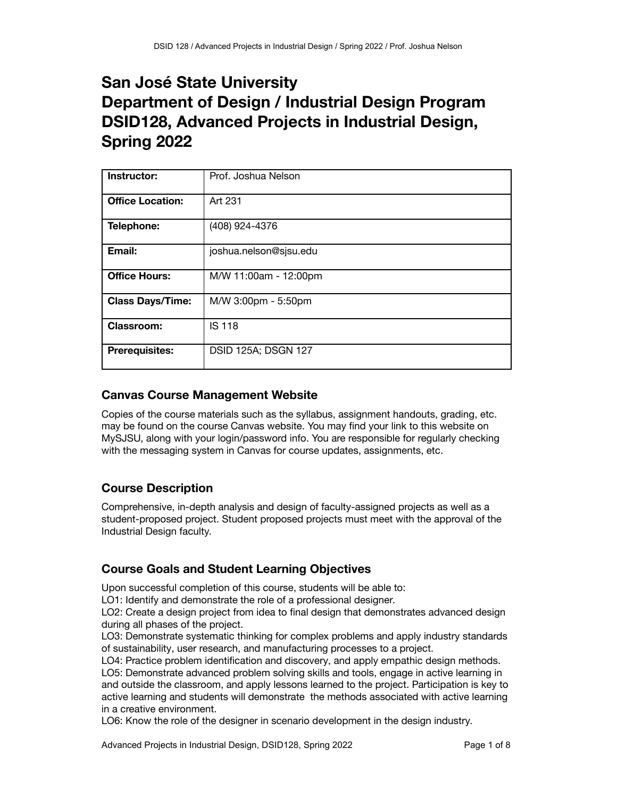# **San José State University Department of Design / Industrial Design Program DSID128, Advanced Projects in Industrial Design, Spring 2022**

| Instructor:             | Prof. Joshua Nelson        |
|-------------------------|----------------------------|
| <b>Office Location:</b> | Art 231                    |
| Telephone:              | (408) 924-4376             |
| Email:                  | joshua.nelson@sjsu.edu     |
| <b>Office Hours:</b>    | M/W 11:00am - 12:00pm      |
| <b>Class Days/Time:</b> | M/W 3:00pm - 5:50pm        |
| <b>Classroom:</b>       | <b>IS 118</b>              |
| <b>Prerequisites:</b>   | <b>DSID 125A; DSGN 127</b> |

# **Canvas Course Management Website**

Copies of the course materials such as the syllabus, assignment handouts, grading, etc. may be found on the course Canvas website. You may find your link to this website on MySJSU, along with your login/password info. You are responsible for regularly checking with the messaging system in Canvas for course updates, assignments, etc.

# **Course Description**

Comprehensive, in-depth analysis and design of faculty-assigned projects as well as a student-proposed project. Student proposed projects must meet with the approval of the Industrial Design faculty.

# **Course Goals and Student Learning Objectives**

Upon successful completion of this course, students will be able to:

LO1: Identify and demonstrate the role of a professional designer.

LO2: Create a design project from idea to final design that demonstrates advanced design during all phases of the project.

LO3: Demonstrate systematic thinking for complex problems and apply industry standards of sustainability, user research, and manufacturing processes to a project.

LO4: Practice problem identification and discovery, and apply empathic design methods. LO5: Demonstrate advanced problem solving skills and tools, engage in active learning in and outside the classroom, and apply lessons learned to the project. Participation is key to active learning and students will demonstrate the methods associated with active learning in a creative environment.

LO6: Know the role of the designer in scenario development in the design industry.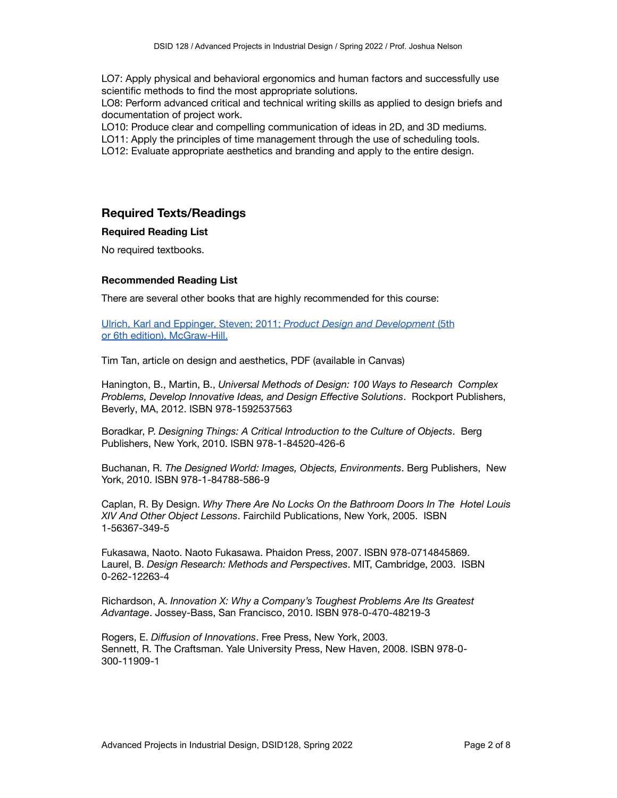LO7: Apply physical and behavioral ergonomics and human factors and successfully use scientific methods to find the most appropriate solutions.

LO8: Perform advanced critical and technical writing skills as applied to design briefs and documentation of project work.

LO10: Produce clear and compelling communication of ideas in 2D, and 3D mediums.

LO11: Apply the principles of time management through the use of scheduling tools.

LO12: Evaluate appropriate aesthetics and branding and apply to the entire design.

### **Required Texts/Readings**

#### **Required Reading List**

No required textbooks.

#### **Recommended Reading List**

There are several other books that are highly recommended for this course:

Ulrich, Karl and Eppinger, Steven; 2011; *Product Design and [Development](https://www.abebooks.com/9780073404776/Product-DesignDevelopment-5th-Edition-0073404772/plp)* (5th or 6th edition), [McGraw-Hill.](https://www.abebooks.com/9780073404776/Product-DesignDevelopment-5th-Edition-0073404772/plp)

Tim Tan, article on design and aesthetics, PDF (available in Canvas)

Hanington, B., Martin, B., *Universal Methods of Design: 100 Ways to Research Complex Problems, Develop Innovative Ideas, and Design Effective Solutions*. Rockport Publishers, Beverly, MA, 2012. ISBN 978-1592537563

Boradkar, P. *Designing Things: A Critical Introduction to the Culture of Objects*. Berg Publishers, New York, 2010. ISBN 978-1-84520-426-6

Buchanan, R. *The Designed World: Images, Objects, Environments*. Berg Publishers, New York, 2010. ISBN 978-1-84788-586-9

Caplan, R. By Design. *Why There Are No Locks On the Bathroom Doors In The Hotel Louis XIV And Other Object Lessons*. Fairchild Publications, New York, 2005. ISBN 1-56367-349-5

Fukasawa, Naoto. Naoto Fukasawa. Phaidon Press, 2007. ISBN 978-0714845869. Laurel, B. *Design Research: Methods and Perspectives*. MIT, Cambridge, 2003. ISBN 0-262-12263-4

Richardson, A. *Innovation X: Why a Company's Toughest Problems Are Its Greatest Advantage*. Jossey-Bass, San Francisco, 2010. ISBN 978-0-470-48219-3

Rogers, E. *Diffusion of Innovations*. Free Press, New York, 2003. Sennett, R. The Craftsman. Yale University Press, New Haven, 2008. ISBN 978-0- 300-11909-1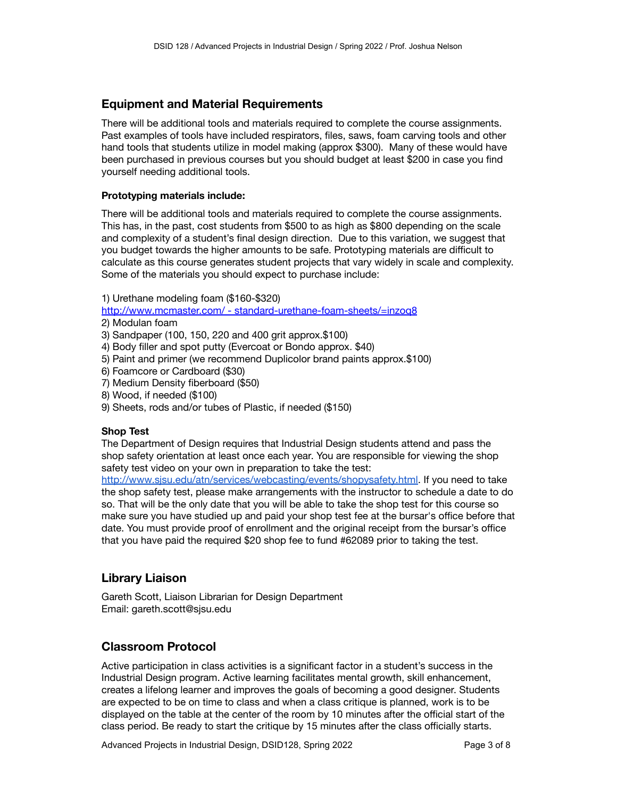# **Equipment and Material Requirements**

There will be additional tools and materials required to complete the course assignments. Past examples of tools have included respirators, files, saws, foam carving tools and other hand tools that students utilize in model making (approx \$300). Many of these would have been purchased in previous courses but you should budget at least \$200 in case you find yourself needing additional tools.

#### **Prototyping materials include:**

There will be additional tools and materials required to complete the course assignments. This has, in the past, cost students from \$500 to as high as \$800 depending on the scale and complexity of a student's final design direction. Due to this variation, we suggest that you budget towards the higher amounts to be safe. Prototyping materials are difficult to calculate as this course generates student projects that vary widely in scale and complexity. Some of the materials you should expect to purchase include:

1) Urethane modeling foam (\$160-\$320)

http://www.mcmaster.com/ - [standard-urethane-foam-sheets/=inzoq8](http://www.mcmaster.com/#standard-urethane-foam-sheets/=inzoq8)

- 2) Modulan foam
- 3) Sandpaper (100, 150, 220 and 400 grit approx.\$100)
- 4) Body filler and spot putty (Evercoat or Bondo approx. \$40)
- 5) Paint and primer (we recommend Duplicolor brand paints approx.\$100)
- 6) Foamcore or Cardboard (\$30)
- 7) Medium Density fiberboard (\$50)
- 8) Wood, if needed (\$100)
- 9) Sheets, rods and/or tubes of Plastic, if needed (\$150)

#### **Shop Test**

The Department of Design requires that Industrial Design students attend and pass the shop safety orientation at least once each year. You are responsible for viewing the shop safety test video on your own in preparation to take the test:

[http://www.sjsu.edu/atn/services/webcasting/events/shopysafety.html.](http://www.sjsu.edu/atn/services/webcasting/events/shopysafety.html) If you need to take the shop safety test, please make arrangements with the instructor to schedule a date to do so. That will be the only date that you will be able to take the shop test for this course so make sure you have studied up and paid your shop test fee at the bursar's office before that date. You must provide proof of enrollment and the original receipt from the bursar's office that you have paid the required \$20 shop fee to fund #62089 prior to taking the test.

# **Library Liaison**

Gareth Scott, Liaison Librarian for Design Department Email: gareth.scott@sjsu.edu

# **Classroom Protocol**

Active participation in class activities is a significant factor in a student's success in the Industrial Design program. Active learning facilitates mental growth, skill enhancement, creates a lifelong learner and improves the goals of becoming a good designer. Students are expected to be on time to class and when a class critique is planned, work is to be displayed on the table at the center of the room by 10 minutes after the official start of the class period. Be ready to start the critique by 15 minutes after the class officially starts.

Advanced Projects in Industrial Design, DSID128, Spring 2022 Page 3 of 8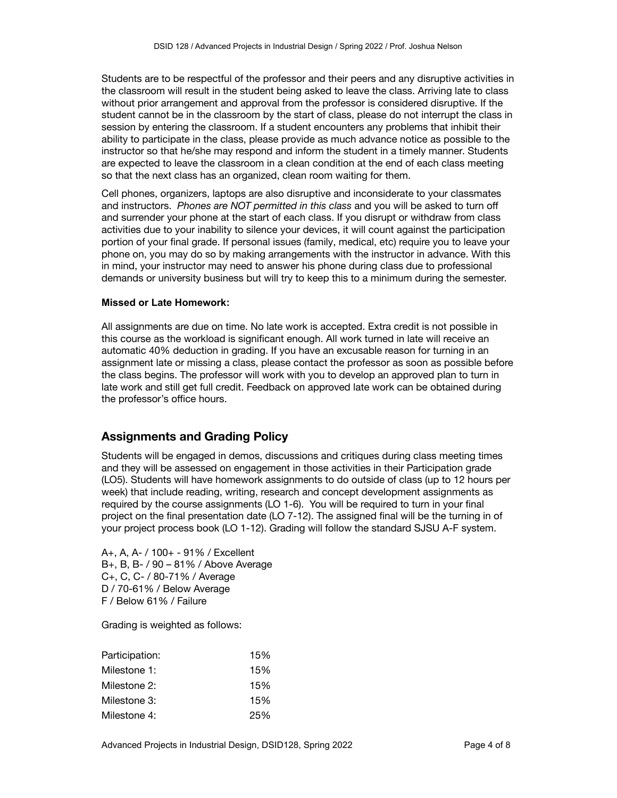Students are to be respectful of the professor and their peers and any disruptive activities in the classroom will result in the student being asked to leave the class. Arriving late to class without prior arrangement and approval from the professor is considered disruptive. If the student cannot be in the classroom by the start of class, please do not interrupt the class in session by entering the classroom. If a student encounters any problems that inhibit their ability to participate in the class, please provide as much advance notice as possible to the instructor so that he/she may respond and inform the student in a timely manner. Students are expected to leave the classroom in a clean condition at the end of each class meeting so that the next class has an organized, clean room waiting for them.

Cell phones, organizers, laptops are also disruptive and inconsiderate to your classmates and instructors. *Phones are NOT permitted in this class* and you will be asked to turn off and surrender your phone at the start of each class. If you disrupt or withdraw from class activities due to your inability to silence your devices, it will count against the participation portion of your final grade. If personal issues (family, medical, etc) require you to leave your phone on, you may do so by making arrangements with the instructor in advance. With this in mind, your instructor may need to answer his phone during class due to professional demands or university business but will try to keep this to a minimum during the semester.

#### **Missed or Late Homework:**

All assignments are due on time. No late work is accepted. Extra credit is not possible in this course as the workload is significant enough. All work turned in late will receive an automatic 40% deduction in grading. If you have an excusable reason for turning in an assignment late or missing a class, please contact the professor as soon as possible before the class begins. The professor will work with you to develop an approved plan to turn in late work and still get full credit. Feedback on approved late work can be obtained during the professor's office hours.

# **Assignments and Grading Policy**

Students will be engaged in demos, discussions and critiques during class meeting times and they will be assessed on engagement in those activities in their Participation grade (LO5). Students will have homework assignments to do outside of class (up to 12 hours per week) that include reading, writing, research and concept development assignments as required by the course assignments (LO 1-6). You will be required to turn in your final project on the final presentation date (LO 7-12). The assigned final will be the turning in of your project process book (LO 1-12). Grading will follow the standard SJSU A-F system.

A+, A, A- / 100+ - 91% / Excellent B+, B, B- / 90 – 81% / Above Average C+, C, C- / 80-71% / Average D / 70-61% / Below Average F / Below 61% / Failure

Grading is weighted as follows:

| Participation: | 15% |
|----------------|-----|
| Milestone 1:   | 15% |
| Milestone 2:   | 15% |
| Milestone 3:   | 15% |
| Milestone 4:   | 25% |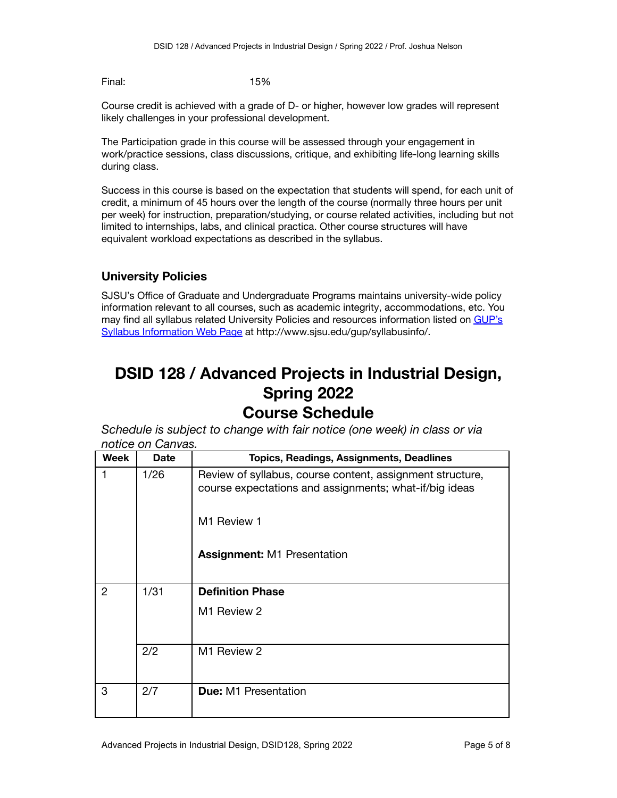Final: 15%

Course credit is achieved with a grade of D- or higher, however low grades will represent likely challenges in your professional development.

The Participation grade in this course will be assessed through your engagement in work/practice sessions, class discussions, critique, and exhibiting life-long learning skills during class.

Success in this course is based on the expectation that students will spend, for each unit of credit, a minimum of 45 hours over the length of the course (normally three hours per unit per week) for instruction, preparation/studying, or course related activities, including but not limited to internships, labs, and clinical practica. Other course structures will have equivalent workload expectations as described in the syllabus.

# **University Policies**

SJSU's Office of Graduate and Undergraduate Programs maintains university-wide policy information relevant to all courses, such as academic integrity, accommodations, etc. You may find all syllabus related University Policies and resources information listed on [GUP's](http://www.sjsu.edu/gup/syllabusinfo/) Syllabus [Information](http://www.sjsu.edu/gup/syllabusinfo/) Web Page at http://www.sjsu.edu/gup/syllabusinfo/.

# **DSID 128 / Advanced Projects in Industrial Design, Spring 2022 Course Schedule**

*Schedule is subject to change with fair notice (one week) in class or via notice on Canvas.*

| <b>Week</b>    | <b>Date</b> | <b>Topics, Readings, Assignments, Deadlines</b>                                                                     |
|----------------|-------------|---------------------------------------------------------------------------------------------------------------------|
| 1              | 1/26        | Review of syllabus, course content, assignment structure,<br>course expectations and assignments; what-if/big ideas |
|                |             | M1 Review 1                                                                                                         |
|                |             | <b>Assignment: M1 Presentation</b>                                                                                  |
| $\overline{2}$ | 1/31        | <b>Definition Phase</b>                                                                                             |
|                |             | M1 Review 2                                                                                                         |
|                | 2/2         | M1 Review 2                                                                                                         |
| 3              | 2/7         | <b>Due: M1 Presentation</b>                                                                                         |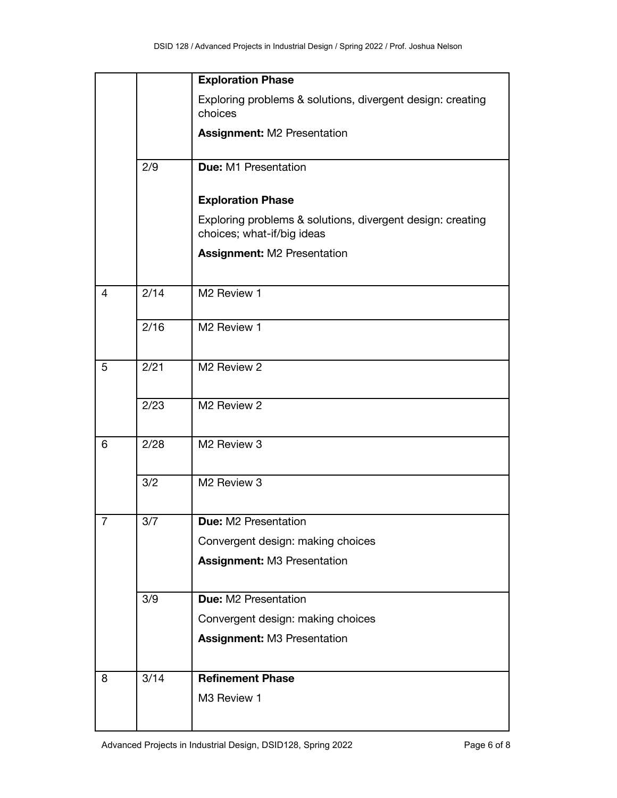|                |      | <b>Exploration Phase</b>                                                                 |
|----------------|------|------------------------------------------------------------------------------------------|
|                |      | Exploring problems & solutions, divergent design: creating<br>choices                    |
|                |      | <b>Assignment: M2 Presentation</b>                                                       |
|                | 2/9  | <b>Due: M1 Presentation</b>                                                              |
|                |      | <b>Exploration Phase</b>                                                                 |
|                |      | Exploring problems & solutions, divergent design: creating<br>choices; what-if/big ideas |
|                |      | <b>Assignment: M2 Presentation</b>                                                       |
| 4              | 2/14 | M2 Review 1                                                                              |
|                | 2/16 | M2 Review 1                                                                              |
| 5              | 2/21 | M <sub>2</sub> Review 2                                                                  |
|                | 2/23 | M2 Review 2                                                                              |
| 6              | 2/28 | M2 Review 3                                                                              |
|                | 3/2  | M2 Review 3                                                                              |
| $\overline{7}$ | 3/7  | <b>Due: M2 Presentation</b>                                                              |
|                |      | Convergent design: making choices                                                        |
|                |      | <b>Assignment: M3 Presentation</b>                                                       |
|                | 3/9  | Due: M2 Presentation                                                                     |
|                |      | Convergent design: making choices                                                        |
|                |      | <b>Assignment: M3 Presentation</b>                                                       |
| 8              | 3/14 | <b>Refinement Phase</b>                                                                  |
|                |      | M3 Review 1                                                                              |
|                |      |                                                                                          |